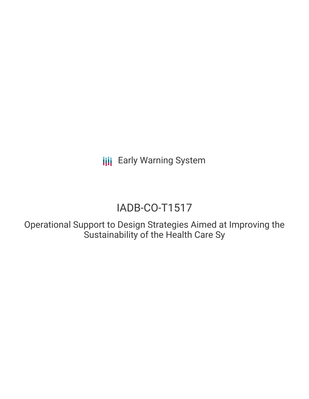**III** Early Warning System

# IADB-CO-T1517

Operational Support to Design Strategies Aimed at Improving the Sustainability of the Health Care Sy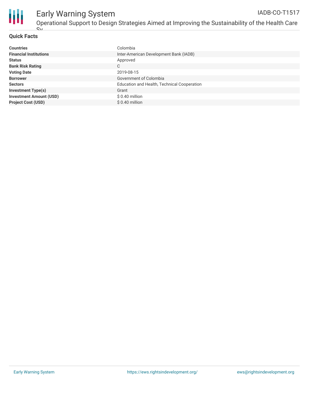

### **Quick Facts**

| <b>Countries</b>               | Colombia                                    |
|--------------------------------|---------------------------------------------|
| <b>Financial Institutions</b>  | Inter-American Development Bank (IADB)      |
| <b>Status</b>                  | Approved                                    |
| <b>Bank Risk Rating</b>        | C                                           |
| <b>Voting Date</b>             | 2019-08-15                                  |
| <b>Borrower</b>                | Government of Colombia                      |
| <b>Sectors</b>                 | Education and Health, Technical Cooperation |
| <b>Investment Type(s)</b>      | Grant                                       |
| <b>Investment Amount (USD)</b> | \$0.40 million                              |
| <b>Project Cost (USD)</b>      | $$0.40$ million                             |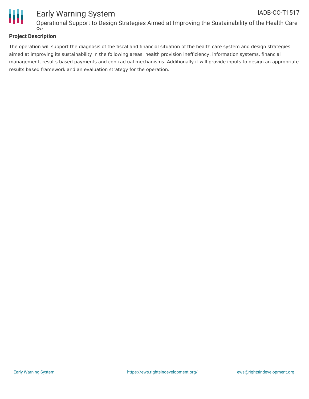

# **Project Description**

The operation will support the diagnosis of the fiscal and financial situation of the health care system and design strategies aimed at improving its sustainability in the following areas: health provision inefficiency, information systems, financial management, results based payments and contractual mechanisms. Additionally it will provide inputs to design an appropriate results based framework and an evaluation strategy for the operation.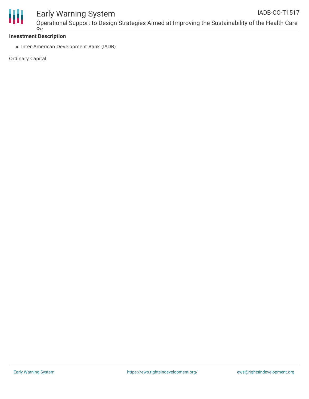

#### Early Warning System Operational Support to Design Strategies Aimed at Improving the Sustainability of the Health Care IADB-CO-T1517

#### **Investment Description**  $\overline{S_{\rm M}}$

• Inter-American Development Bank (IADB)

Ordinary Capital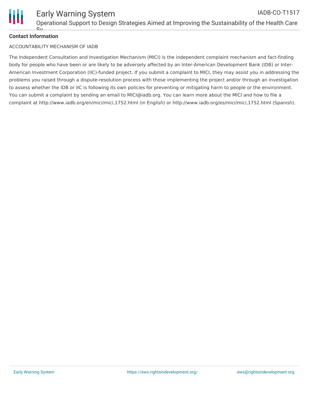

# **Contact Information**

#### ACCOUNTABILITY MECHANISM OF IADB

The Independent Consultation and Investigation Mechanism (MICI) is the independent complaint mechanism and fact-finding body for people who have been or are likely to be adversely affected by an Inter-American Development Bank (IDB) or Inter-American Investment Corporation (IIC)-funded project. If you submit a complaint to MICI, they may assist you in addressing the problems you raised through a dispute-resolution process with those implementing the project and/or through an investigation to assess whether the IDB or IIC is following its own policies for preventing or mitigating harm to people or the environment. You can submit a complaint by sending an email to MICI@iadb.org. You can learn more about the MICI and how to file a complaint at http://www.iadb.org/en/mici/mici,1752.html (in English) or http://www.iadb.org/es/mici/mici,1752.html (Spanish).